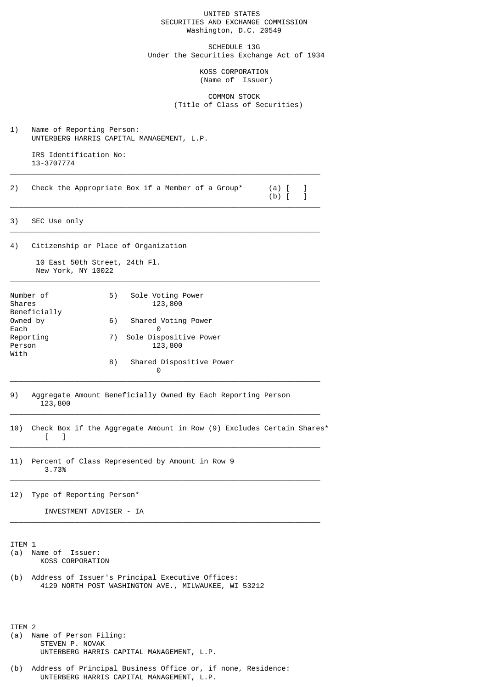## UNITED STATES SECURITIES AND EXCHANGE COMMISSION Washington, D.C. 20549

SCHEDULE 13G Under the Securities Exchange Act of 1934

> KOSS CORPORATION (Name of Issuer)

 COMMON STOCK (Title of Class of Securities)

1) Name of Reporting Person: UNTERBERG HARRIS CAPITAL MANAGEMENT, L.P.

 IRS Identification No: 13-3707774  $\overline{\phantom{a}}$  , and the set of the set of the set of the set of the set of the set of the set of the set of the set of the set of the set of the set of the set of the set of the set of the set of the set of the set of the s

2) Check the Appropriate Box if a Member of a Group\* (a) [ ]<br>(b) [ ]

 $\overline{\phantom{a}}$  , and the set of the set of the set of the set of the set of the set of the set of the set of the set of the set of the set of the set of the set of the set of the set of the set of the set of the set of the s

 $\overline{\phantom{a}}$  , and the set of the set of the set of the set of the set of the set of the set of the set of the set of the set of the set of the set of the set of the set of the set of the set of the set of the set of the s

\_\_\_\_\_\_\_\_\_\_\_\_\_\_\_\_\_\_\_\_\_\_\_\_\_\_\_\_\_\_\_\_\_\_\_\_\_\_\_\_\_\_\_\_\_\_\_\_\_\_\_\_\_\_\_\_\_\_\_\_\_\_\_\_\_\_\_\_\_\_\_\_

 $(b)$  [ ]

3) SEC Use only

4) Citizenship or Place of Organization

 10 East 50th Street, 24th Fl. New York, NY 10022

| Number of<br>Shares<br>Beneficially | 5) | Sole Voting Power<br>123,800 |
|-------------------------------------|----|------------------------------|
| Owned by                            | 6) | Shared Voting Power          |
| Each                                |    | Θ                            |
| Reporting                           | 7) | Sole Dispositive Power       |
| Person                              |    | 123,800                      |
| With                                |    |                              |
|                                     | 8) | Shared Dispositive Power     |
|                                     |    | 0                            |

- 9) Aggregate Amount Beneficially Owned By Each Reporting Person 123,800
- 10) Check Box if the Aggregate Amount in Row (9) Excludes Certain Shares\*  $\lceil$  1  $\overline{\phantom{a}}$  , and the set of the set of the set of the set of the set of the set of the set of the set of the set of the set of the set of the set of the set of the set of the set of the set of the set of the set of the s

 $\overline{\phantom{a}}$  , and the set of the set of the set of the set of the set of the set of the set of the set of the set of the set of the set of the set of the set of the set of the set of the set of the set of the set of the s

 $\overline{\phantom{a}}$  , and the set of the set of the set of the set of the set of the set of the set of the set of the set of the set of the set of the set of the set of the set of the set of the set of the set of the set of the s

 $\overline{\phantom{a}}$  , and the set of the set of the set of the set of the set of the set of the set of the set of the set of the set of the set of the set of the set of the set of the set of the set of the set of the set of the s

 $\overline{\phantom{a}}$  , and the set of the set of the set of the set of the set of the set of the set of the set of the set of the set of the set of the set of the set of the set of the set of the set of the set of the set of the s

11) Percent of Class Represented by Amount in Row 9 3.73%

12) Type of Reporting Person\*

INVESTMENT ADVISER - IA

ITEM 1

- (a) Name of Issuer: KOSS CORPORATION
- (b) Address of Issuer's Principal Executive Offices: 4129 NORTH POST WASHINGTON AVE., MILWAUKEE, WI 53212

ITEM 2 (a) Name of Person Filing: STEVEN P. NOVAK UNTERBERG HARRIS CAPITAL MANAGEMENT, L.P.

(b) Address of Principal Business Office or, if none, Residence: UNTERBERG HARRIS CAPITAL MANAGEMENT, L.P.